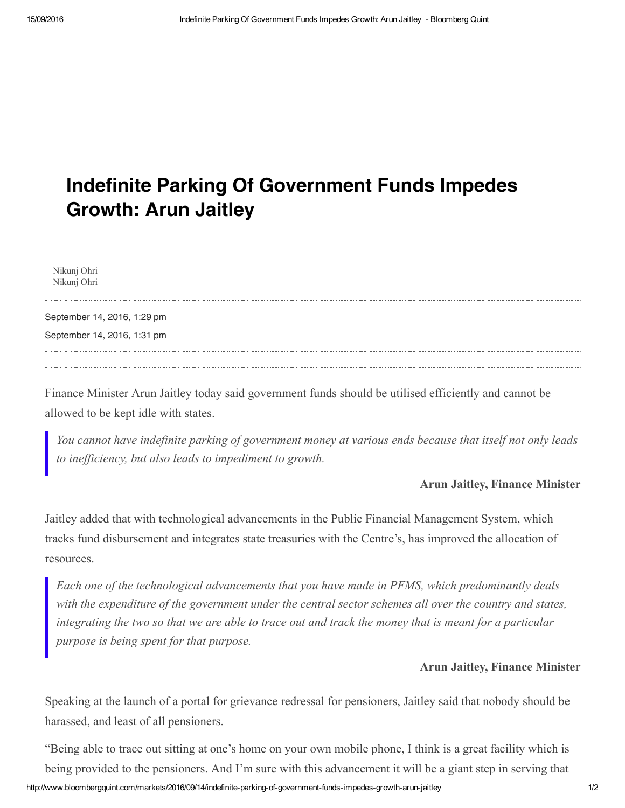## Indefinite Parking Of Government Funds Impedes Growth: Arun Jaitley

[Nikunj](http://www.bloombergquint.com/author/45191/nikunj-ohri) Ohri [Nikunj](https://twitter.com/Nikunj_Ohri) Ohri

September 14, 2016, 1:29 pm September 14, 2016, 1:31 pm

Finance Minister Arun Jaitley today said government funds should be utilised efficiently and cannot be allowed to be kept idle with states.

You cannot have indefinite parking of government money at various ends because that itself not only leads to inefficiency, but also leads to impediment to growth.

## Arun Jaitley, Finance Minister

Jaitley added that with technological advancements in the Public Financial Management System, which tracks fund disbursement and integrates state treasuries with the Centre's, has improved the allocation of resources.

Each one of the technological advancements that you have made in PFMS, which predominantly deals with the expenditure of the government under the central sector schemes all over the country and states, integrating the two so that we are able to trace out and track the money that is meant for a particular purpose is being spent for that purpose.

## Arun Jaitley, Finance Minister

Speaking at the launch of a portal for grievance redressal for pensioners, Jaitley said that nobody should be harassed, and least of all pensioners.

http://www.bloombergquint.com/markets/2016/09/14/indefinite-parking-of-government-funds-impedes-growth-arun-jaitley "Being able to trace out sitting at one's home on your own mobile phone, I think is a great facility which is being provided to the pensioners. And I'm sure with this advancement it will be a giant step in serving that